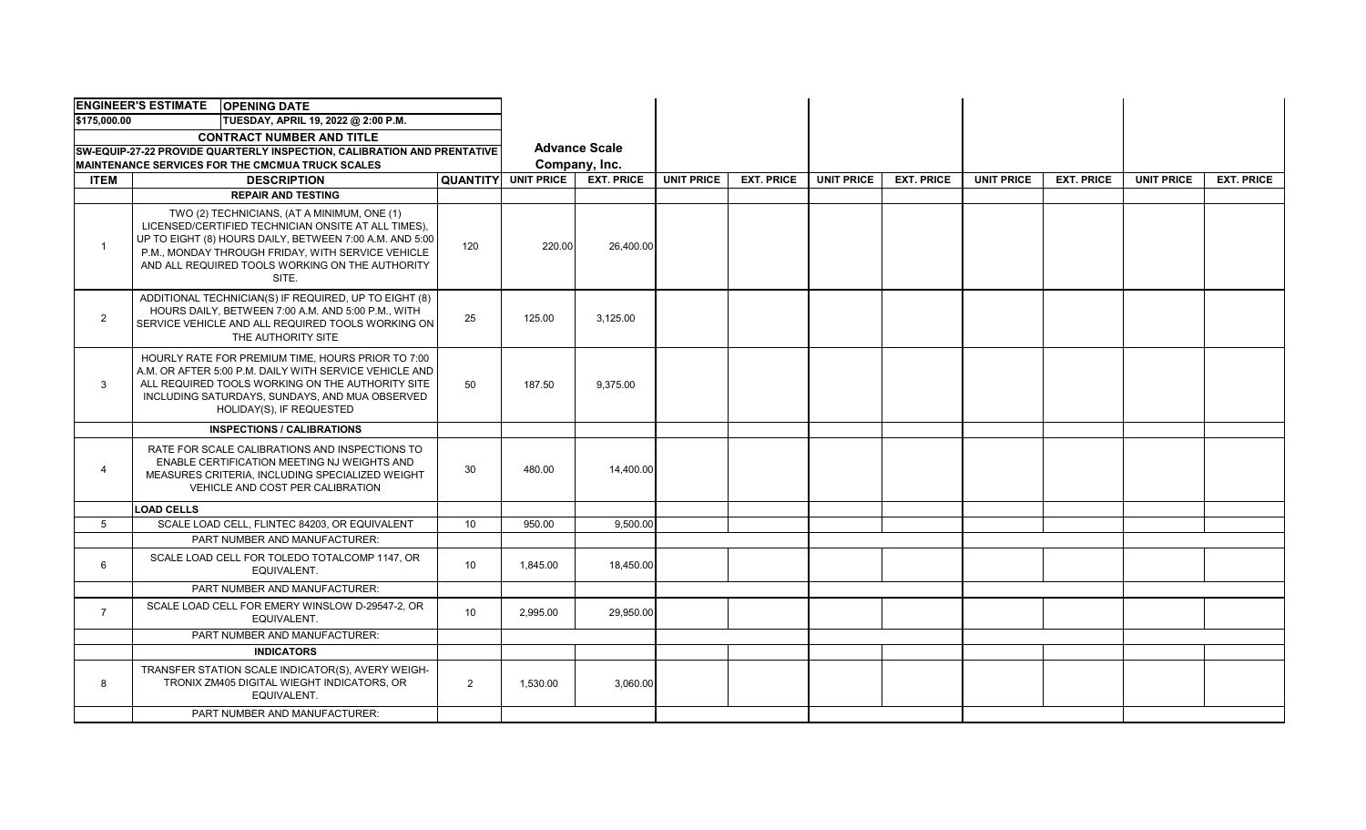| <b>ENGINEER'S ESTIMATE OPENING DATE</b>                                    |                                                                                                                                                                                                                                               |                 |                                                         |           |                   |                   |                   |                   |                   |                   |                   |                   |
|----------------------------------------------------------------------------|-----------------------------------------------------------------------------------------------------------------------------------------------------------------------------------------------------------------------------------------------|-----------------|---------------------------------------------------------|-----------|-------------------|-------------------|-------------------|-------------------|-------------------|-------------------|-------------------|-------------------|
| \$175,000.00<br>TUESDAY, APRIL 19, 2022 @ 2:00 P.M.                        |                                                                                                                                                                                                                                               |                 |                                                         |           |                   |                   |                   |                   |                   |                   |                   |                   |
| <b>CONTRACT NUMBER AND TITLE</b>                                           |                                                                                                                                                                                                                                               |                 |                                                         |           |                   |                   |                   |                   |                   |                   |                   |                   |
| SW-EQUIP-27-22 PROVIDE QUARTERLY INSPECTION, CALIBRATION AND PRENTATIVE    |                                                                                                                                                                                                                                               |                 | <b>Advance Scale</b>                                    |           |                   |                   |                   |                   |                   |                   |                   |                   |
| <b>MAINTENANCE SERVICES FOR THE CMCMUA TRUCK SCALES</b><br><b>QUANTITY</b> |                                                                                                                                                                                                                                               |                 | Company, Inc.<br><b>UNIT PRICE</b><br><b>EXT. PRICE</b> |           | <b>UNIT PRICE</b> | <b>EXT. PRICE</b> | <b>UNIT PRICE</b> | <b>EXT. PRICE</b> | <b>UNIT PRICE</b> | <b>EXT. PRICE</b> | <b>UNIT PRICE</b> | <b>EXT. PRICE</b> |
| <b>ITEM</b>                                                                | <b>DESCRIPTION</b><br><b>REPAIR AND TESTING</b>                                                                                                                                                                                               |                 |                                                         |           |                   |                   |                   |                   |                   |                   |                   |                   |
|                                                                            | TWO (2) TECHNICIANS, (AT A MINIMUM, ONE (1)                                                                                                                                                                                                   |                 |                                                         |           |                   |                   |                   |                   |                   |                   |                   |                   |
|                                                                            | LICENSED/CERTIFIED TECHNICIAN ONSITE AT ALL TIMES).<br>UP TO EIGHT (8) HOURS DAILY, BETWEEN 7:00 A.M. AND 5:00<br>P.M., MONDAY THROUGH FRIDAY, WITH SERVICE VEHICLE<br>AND ALL REQUIRED TOOLS WORKING ON THE AUTHORITY<br>SITE.               | 120             | 220.00                                                  | 26,400.00 |                   |                   |                   |                   |                   |                   |                   |                   |
| $\overline{2}$                                                             | ADDITIONAL TECHNICIAN(S) IF REQUIRED, UP TO EIGHT (8)<br>HOURS DAILY, BETWEEN 7:00 A.M. AND 5:00 P.M., WITH<br>SERVICE VEHICLE AND ALL REQUIRED TOOLS WORKING ON<br>THE AUTHORITY SITE                                                        | 25              | 125.00                                                  | 3,125.00  |                   |                   |                   |                   |                   |                   |                   |                   |
| 3                                                                          | HOURLY RATE FOR PREMIUM TIME, HOURS PRIOR TO 7:00<br>A.M. OR AFTER 5:00 P.M. DAILY WITH SERVICE VEHICLE AND<br>ALL REQUIRED TOOLS WORKING ON THE AUTHORITY SITE<br>INCLUDING SATURDAYS, SUNDAYS, AND MUA OBSERVED<br>HOLIDAY(S), IF REQUESTED | 50              | 187.50                                                  | 9.375.00  |                   |                   |                   |                   |                   |                   |                   |                   |
|                                                                            | <b>INSPECTIONS / CALIBRATIONS</b>                                                                                                                                                                                                             |                 |                                                         |           |                   |                   |                   |                   |                   |                   |                   |                   |
| 4                                                                          | RATE FOR SCALE CALIBRATIONS AND INSPECTIONS TO<br>ENABLE CERTIFICATION MEETING NJ WEIGHTS AND<br>MEASURES CRITERIA, INCLUDING SPECIALIZED WEIGHT<br>VEHICLE AND COST PER CALIBRATION                                                          | 30              | 480.00                                                  | 14,400.00 |                   |                   |                   |                   |                   |                   |                   |                   |
|                                                                            | <b>LOAD CELLS</b>                                                                                                                                                                                                                             |                 |                                                         |           |                   |                   |                   |                   |                   |                   |                   |                   |
| $5^{\circ}$                                                                | SCALE LOAD CELL, FLINTEC 84203, OR EQUIVALENT                                                                                                                                                                                                 | 10              | 950.00                                                  | 9.500.00  |                   |                   |                   |                   |                   |                   |                   |                   |
|                                                                            | PART NUMBER AND MANUFACTURER:                                                                                                                                                                                                                 |                 |                                                         |           |                   |                   |                   |                   |                   |                   |                   |                   |
| 6                                                                          | SCALE LOAD CELL FOR TOLEDO TOTALCOMP 1147, OR<br>EQUIVALENT.                                                                                                                                                                                  | 10              | 1,845.00                                                | 18,450.00 |                   |                   |                   |                   |                   |                   |                   |                   |
|                                                                            | PART NUMBER AND MANUFACTURER:                                                                                                                                                                                                                 |                 |                                                         |           |                   |                   |                   |                   |                   |                   |                   |                   |
| $\overline{7}$                                                             | SCALE LOAD CELL FOR EMERY WINSLOW D-29547-2. OR<br>EQUIVALENT.                                                                                                                                                                                | 10 <sup>°</sup> | 2,995.00                                                | 29,950.00 |                   |                   |                   |                   |                   |                   |                   |                   |
|                                                                            | PART NUMBER AND MANUFACTURER:                                                                                                                                                                                                                 |                 |                                                         |           |                   |                   |                   |                   |                   |                   |                   |                   |
|                                                                            | <b>INDICATORS</b>                                                                                                                                                                                                                             |                 |                                                         |           |                   |                   |                   |                   |                   |                   |                   |                   |
| 8                                                                          | TRANSFER STATION SCALE INDICATOR(S), AVERY WEIGH-<br>TRONIX ZM405 DIGITAL WIEGHT INDICATORS, OR<br>EQUIVALENT.                                                                                                                                | $\overline{2}$  | 1,530.00                                                | 3,060.00  |                   |                   |                   |                   |                   |                   |                   |                   |
|                                                                            | PART NUMBER AND MANUFACTURER:                                                                                                                                                                                                                 |                 |                                                         |           |                   |                   |                   |                   |                   |                   |                   |                   |